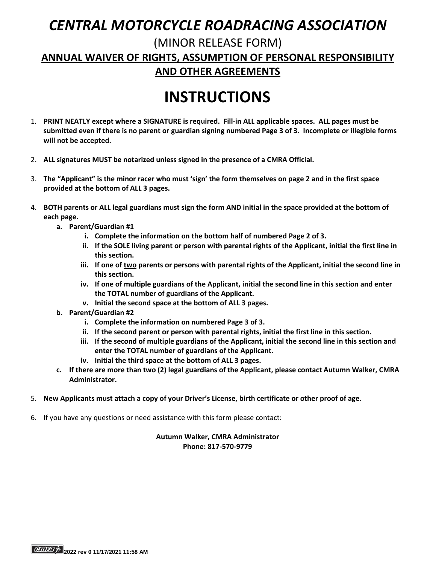## *CENTRAL MOTORCYCLE ROADRACING ASSOCIATION*

### (MINOR RELEASE FORM) **ANNUAL WAIVER OF RIGHTS, ASSUMPTION OF PERSONAL RESPONSIBILITY AND OTHER AGREEMENTS**

# **INSTRUCTIONS**

- 1. **PRINT NEATLY except where a SIGNATURE is required. Fill-in ALL applicable spaces. ALL pages must be submitted even if there is no parent or guardian signing numbered Page 3 of 3. Incomplete or illegible forms will not be accepted.**
- 2. **ALL signatures MUST be notarized unless signed in the presence of a CMRA Official.**
- 3. **The "Applicant" is the minor racer who must 'sign' the form themselves on page 2 and in the first space provided at the bottom of ALL 3 pages.**
- 4. **BOTH parents or ALL legal guardians must sign the form AND initial in the space provided at the bottom of each page.**
	- **a. Parent/Guardian #1**
		- **i. Complete the information on the bottom half of numbered Page 2 of 3.**
		- **ii. If the SOLE living parent or person with parental rights of the Applicant, initial the first line in this section.**
		- **iii. If one of two parents or persons with parental rights of the Applicant, initial the second line in this section.**
		- **iv. If one of multiple guardians of the Applicant, initial the second line in this section and enter the TOTAL number of guardians of the Applicant.**
		- **v. Initial the second space at the bottom of ALL 3 pages.**
	- **b. Parent/Guardian #2**
		- **i. Complete the information on numbered Page 3 of 3.**
		- **ii. If the second parent or person with parental rights, initial the first line in this section.**
		- **iii. If the second of multiple guardians of the Applicant, initial the second line in this section and enter the TOTAL number of guardians of the Applicant.**
		- **iv. Initial the third space at the bottom of ALL 3 pages.**
	- **c. If there are more than two (2) legal guardians of the Applicant, please contact Autumn Walker, CMRA Administrator.**
- 5. **New Applicants must attach a copy of your Driver's License, birth certificate or other proof of age.**
- 6. If you have any questions or need assistance with this form please contact:

#### **Autumn Walker, CMRA Administrator Phone: 817-570-9779**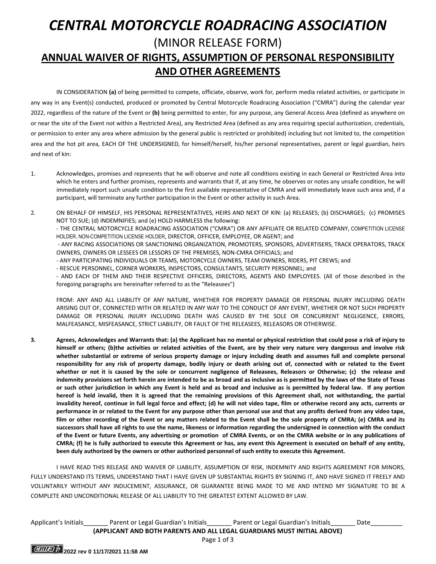### *CENTRAL MOTORCYCLE ROADRACING ASSOCIATION* (MINOR RELEASE FORM) **ANNUAL WAIVER OF RIGHTS, ASSUMPTION OF PERSONAL RESPONSIBILITY AND OTHER AGREEMENTS**

IN CONSIDERATION **(a)** of being permitted to compete, officiate, observe, work for, perform media related activities, or participate in any way in any Event(s) conducted, produced or promoted by Central Motorcycle Roadracing Association ("CMRA") during the calendar year 2022, regardless of the nature of the Event or **(b)** being permitted to enter, for any purpose, any General Access Area (defined as anywhere on or near the site of the Event not within a Restricted Area), any Restricted Area (defined as any area requiring special authorization, credentials, or permission to enter any area where admission by the general public is restricted or prohibited) including but not limited to, the competition area and the hot pit area, EACH OF THE UNDERSIGNED, for himself/herself, his/her personal representatives, parent or legal guardian, heirs and next of kin:

- 1. Acknowledges, promises and represents that he will observe and note all conditions existing in each General or Restricted Area into which he enters and further promises, represents and warrants that if, at any time, he observes or notes any unsafe condition, he will immediately report such unsafe condition to the first available representative of CMRA and will immediately leave such area and, if a participant, will terminate any further participation in the Event or other activity in such Area.
- 2. ON BEHALF OF HIMSELF, HIS PERSONAL REPRESENTATIVES, HEIRS AND NEXT OF KIN: (a) RELEASES; (b) DISCHARGES; (c) PROMISES NOT TO SUE; (d) INDEMNIFIES; and (e) HOLD HARMLESS the following: - THE CENTRAL MOTORCYCLE ROADRACING ASSOCIATION ("CMRA") OR ANY AFFILIATE OR RELATED COMPANY, COMPETITION LICENSE HOLDER, NON-COMPETITION LICENSE HOLDER, DIRECTOR, OFFICER, EMPLOYEE, OR AGENT; and

- ANY RACING ASSOCIATIONS OR SANCTIONING ORGANIZATION, PROMOTERS, SPONSORS, ADVERTISERS, TRACK OPERATORS, TRACK OWNERS, OWNERS OR LESSEES OR LESSORS OF THE PREMISES, NON-CMRA OFFICIALS; and

- ANY PARTICIPATING INDIVIDUALS OR TEAMS, MOTORCYCLE OWNERS, TEAM OWNERS, RIDERS, PIT CREWS; and

- RESCUE PERSONNEL, CORNER WORKERS, INSPECTORS, CONSULTANTS, SECURITY PERSONNEL; and

- AND EACH OF THEM AND THEIR RESPECTIVE OFFICERS, DIRECTORS, AGENTS AND EMPLOYEES. (All of those described in the foregoing paragraphs are hereinafter referred to as the "Releasees")

FROM: ANY AND ALL LIABILITY OF ANY NATURE, WHETHER FOR PROPERTY DAMAGE OR PERSONAL INJURY INCLUDING DEATH ARISING OUT OF, CONNECTED WITH OR RELATED IN ANY WAY TO THE CONDUCT OF ANY EVENT, WHETHER OR NOT SUCH PROPERTY DAMAGE OR PERSONAL INJURY INCLUDING DEATH WAS CAUSED BY THE SOLE OR CONCURRENT NEGLIGENCE, ERRORS, MALFEASANCE, MISFEASANCE, STRICT LIABILITY, OR FAULT OF THE RELEASEES, RELEASORS OR OTHERWISE.

**3. Agrees, Acknowledges and Warrants that: (a) the Applicant has no mental or physical restriction that could pose a risk of injury to himself or others; (b)the activities or related activities of the Event, are by their very nature very dangerous and involve risk whether substantial or extreme of serious property damage or injury including death and assumes full and complete personal responsibility for any risk of property damage, bodily injury or death arising out of, connected with or related to the Event whether or not it is caused by the sole or concurrent negligence of Releasees, Releasors or Otherwise; (c) the release and indemnity provisions set forth herein are intended to be as broad and as inclusive as is permitted by the laws of the State of Texas or such other jurisdiction in which any Event is held and as broad and inclusive as is permitted by federal law. If any portion hereof is held invalid, then it is agreed that the remaining provisions of this Agreement shall, not withstanding, the partial invalidity hereof, continue in full legal force and effect; (d) he will not video tape, film or otherwise record any acts, currents or performance in or related to the Event for any purpose other than personal use and that any profits derived from any video tape, film or other recording of the Event or any matters related to the Event shall be the sole property of CMRA; (e) CMRA and its successors shall have all rights to use the name, likeness or information regarding the undersigned in connection with the conduct of the Event or future Events, any advertising or promotion of CMRA Events, or on the CMRA website or in any publications of CMRA; (f) he is fully authorized to execute this Agreement or has, any event this Agreement is executed on behalf of any entity, been duly authorized by the owners or other authorized personnel of such entity to execute this Agreement.**

I HAVE READ THIS RELEASE AND WAIVER OF LIABILITY, ASSUMPTION OF RISK, INDEMNITY AND RIGHTS AGREEMENT FOR MINORS, FULLY UNDERSTAND ITS TERMS, UNDERSTAND THAT I HAVE GIVEN UP SUBSTANTIAL RIGHTS BY SIGNING IT, AND HAVE SIGNED IT FREELY AND VOLUNTARILY WITHOUT ANY INDUCEMENT, ASSURANCE, OR GUARANTEE BEING MADE TO ME AND INTEND MY SIGNATURE TO BE A COMPLETE AND UNCONDITIONAL RELEASE OF ALL LIABILITY TO THE GREATEST EXTENT ALLOWED BY LAW.

Applicant's Initials\_\_\_\_\_\_\_ Parent or Legal Guardian's Initials\_\_\_\_\_\_\_ Parent or Legal Guardian's Initials\_\_\_\_\_\_\_ Date\_\_\_\_\_\_\_\_\_ **(APPLICANT AND BOTH PARENTS AND ALL LEGAL GUARDIANS MUST INITIAL ABOVE)**

Page 1 of 3

**2022** rev 0 11/17/2021 11:58 AM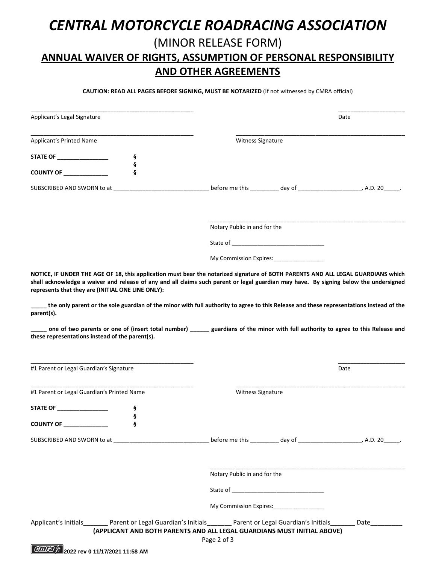### *CENTRAL MOTORCYCLE ROADRACING ASSOCIATION* (MINOR RELEASE FORM) **ANNUAL WAIVER OF RIGHTS, ASSUMPTION OF PERSONAL RESPONSIBILITY AND OTHER AGREEMENTS**

**CAUTION: READ ALL PAGES BEFORE SIGNING, MUST BE NOTARIZED** (If not witnessed by CMRA official)

| Applicant's Legal Signature                                                |        |                                                                                                                                                     | Date              |                                                                             |  |  |
|----------------------------------------------------------------------------|--------|-----------------------------------------------------------------------------------------------------------------------------------------------------|-------------------|-----------------------------------------------------------------------------|--|--|
| Applicant's Printed Name                                                   |        |                                                                                                                                                     | Witness Signature |                                                                             |  |  |
| STATE OF __________________                                                |        |                                                                                                                                                     |                   |                                                                             |  |  |
| COUNTY OF ___________                                                      | ş<br>ş |                                                                                                                                                     |                   |                                                                             |  |  |
| SUBSCRIBED AND SWORN to at                                                 |        |                                                                                                                                                     |                   |                                                                             |  |  |
|                                                                            |        | Notary Public in and for the                                                                                                                        |                   |                                                                             |  |  |
|                                                                            |        |                                                                                                                                                     |                   |                                                                             |  |  |
|                                                                            |        | My Commission Expires: 1988                                                                                                                         |                   |                                                                             |  |  |
| parent(s).<br>these representations instead of the parent(s).              |        | the only parent or the sole guardian of the minor with full authority to agree to this Release and these representations instead of the             |                   |                                                                             |  |  |
| #1 Parent or Legal Guardian's Signature                                    |        |                                                                                                                                                     |                   |                                                                             |  |  |
|                                                                            |        |                                                                                                                                                     |                   | Date                                                                        |  |  |
|                                                                            |        | Witness Signature                                                                                                                                   |                   |                                                                             |  |  |
| #1 Parent or Legal Guardian's Printed Name<br>STATE OF<br><b>COUNTY OF</b> | ş      |                                                                                                                                                     |                   |                                                                             |  |  |
|                                                                            |        |                                                                                                                                                     |                   | before me this ___________ day of _________________________, A.D. 20______. |  |  |
|                                                                            |        | Notary Public in and for the                                                                                                                        |                   |                                                                             |  |  |
|                                                                            |        |                                                                                                                                                     |                   |                                                                             |  |  |
|                                                                            |        | My Commission Expires:                                                                                                                              |                   |                                                                             |  |  |
|                                                                            |        | Applicant's Initials <b>Super Parent or Legal Guardian's Initials</b> Parent or Legal Guardian's Initials <b>Applicant's Legal Guardian</b> 's Date |                   |                                                                             |  |  |